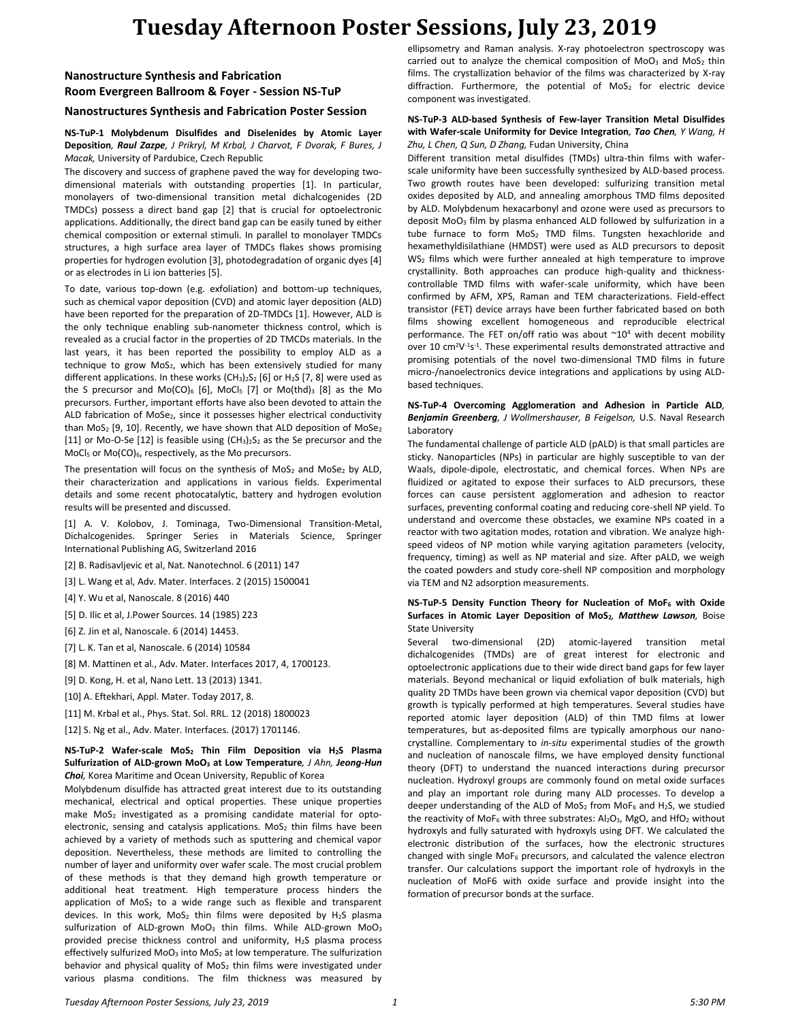# **Tuesday Afternoon Poster Sessions, July 23, 2019**

## **Nanostructure Synthesis and Fabrication Room Evergreen Ballroom & Foyer - Session NS-TuP**

## **Nanostructures Synthesis and Fabrication Poster Session**

## **NS-TuP-1 Molybdenum Disulfides and Diselenides by Atomic Layer Deposition***, Raul Zazpe, J Prikryl, M Krbal, J Charvot, F Dvorak, F Bures, J Macak,* University of Pardubice, Czech Republic

The discovery and success of graphene paved the way for developing twodimensional materials with outstanding properties [1]. In particular, monolayers of two-dimensional transition metal dichalcogenides (2D TMDCs) possess a direct band gap [2] that is crucial for optoelectronic applications. Additionally, the direct band gap can be easily tuned by either chemical composition or external stimuli. In parallel to monolayer TMDCs structures, a high surface area layer of TMDCs flakes shows promising properties for hydrogen evolution [3], photodegradation of organic dyes [4] or as electrodes in Li ion batteries [5].

To date, various top-down (e.g. exfoliation) and bottom-up techniques, such as chemical vapor deposition (CVD) and atomic layer deposition (ALD) have been reported for the preparation of 2D-TMDCs [1]. However, ALD is the only technique enabling sub-nanometer thickness control, which is revealed as a crucial factor in the properties of 2D TMCDs materials. In the last years, it has been reported the possibility to employ ALD as a technique to grow MoS<sub>2</sub>, which has been extensively studied for many different applications. In these works  $(CH_3)_2S_2$  [6] or H<sub>2</sub>S [7, 8] were used as the S precursor and  $Mo(CO)_{6}$  [6], MoCl<sub>5</sub> [7] or Mo(thd)<sub>3</sub> [8] as the Mo precursors. Further, important efforts have also been devoted to attain the ALD fabrication of MoSe<sub>2</sub>, since it possesses higher electrical conductivity than  $MoS<sub>2</sub>$  [9, 10]. Recently, we have shown that ALD deposition of  $MoS<sub>2</sub>$ [11] or Mo-O-Se [12] is feasible using  $(CH_3)_2S_2$  as the Se precursor and the MoCl<sub>5</sub> or Mo(CO)<sub>6</sub>, respectively, as the Mo precursors.

The presentation will focus on the synthesis of MoS<sub>2</sub> and MoSe<sub>2</sub> by ALD, their characterization and applications in various fields. Experimental details and some recent photocatalytic, battery and hydrogen evolution results will be presented and discussed.

[1] A. V. Kolobov, J. Tominaga, Two-Dimensional Transition-Metal, Dichalcogenides. Springer Series in Materials Science, Springer International Publishing AG, Switzerland 2016

- [2] B. Radisavljevic et al, Nat. Nanotechnol. 6 (2011) 147
- [3] L. Wang et al, Adv. Mater. Interfaces. 2 (2015) 1500041
- [4] Y. Wu et al, Nanoscale. 8 (2016) 440
- [5] D. Ilic et al, J.Power Sources. 14 (1985) 223
- [6] Z. Jin et al, Nanoscale. 6 (2014) 14453.
- [7] L. K. Tan et al, Nanoscale. 6 (2014) 10584
- [8] M. Mattinen et al., Adv. Mater. Interfaces 2017, 4, 1700123.
- [9] D. Kong, H. et al, Nano Lett. 13 (2013) 1341.
- [10] A. Eftekhari, Appl. Mater. Today 2017, 8.
- [11] M. Krbal et al., Phys. Stat. Sol. RRL. 12 (2018) 1800023

[12] S. Ng et al., Adv. Mater. Interfaces. (2017) 1701146.

#### **NS-TuP-2 Wafer-scale MoS<sup>2</sup> Thin Film Deposition via H2S Plasma Sulfurization of ALD-grown MoO<sup>3</sup> at Low Temperature***, J Ahn, Jeong-Hun Choi,* Korea Maritime and Ocean University, Republic of Korea

Molybdenum disulfide has attracted great interest due to its outstanding mechanical, electrical and optical properties. These unique properties make MoS<sup>2</sup> investigated as a promising candidate material for optoelectronic, sensing and catalysis applications.  $MoS<sub>2</sub>$  thin films have been achieved by a variety of methods such as sputtering and chemical vapor deposition. Nevertheless, these methods are limited to controlling the number of layer and uniformity over wafer scale. The most crucial problem of these methods is that they demand high growth temperature or additional heat treatment. High temperature process hinders the application of  $MoS<sub>2</sub>$  to a wide range such as flexible and transparent devices. In this work,  $MoS<sub>2</sub>$  thin films were deposited by H<sub>2</sub>S plasma sulfurization of ALD-grown MoO<sub>3</sub> thin films. While ALD-grown MoO<sub>3</sub> provided precise thickness control and uniformity,  $H_2S$  plasma process effectively sulfurized MoO<sub>3</sub> into MoS<sub>2</sub> at low temperature. The sulfurization behavior and physical quality of MoS<sub>2</sub> thin films were investigated under various plasma conditions. The film thickness was measured by ellipsometry and Raman analysis. X-ray photoelectron spectroscopy was carried out to analyze the chemical composition of  $MoO<sub>3</sub>$  and  $MoS<sub>2</sub>$  thin films. The crystallization behavior of the films was characterized by X-ray diffraction. Furthermore, the potential of  $MoS<sub>2</sub>$  for electric device component was investigated.

#### **NS-TuP-3 ALD-based Synthesis of Few-layer Transition Metal Disulfides with Wafer-scale Uniformity for Device Integration***, Tao Chen, Y Wang, H Zhu, L Chen, Q Sun, D Zhang,* Fudan University, China

Different transition metal disulfides (TMDs) ultra-thin films with waferscale uniformity have been successfully synthesized by ALD-based process. Two growth routes have been developed: sulfurizing transition metal oxides deposited by ALD, and annealing amorphous TMD films deposited by ALD. Molybdenum hexacarbonyl and ozone were used as precursors to deposit MoO<sub>3</sub> film by plasma enhanced ALD followed by sulfurization in a tube furnace to form MoS<sub>2</sub> TMD films. Tungsten hexachloride and hexamethyldisilathiane (HMDST) were used as ALD precursors to deposit WS<sub>2</sub> films which were further annealed at high temperature to improve crystallinity. Both approaches can produce high-quality and thicknesscontrollable TMD films with wafer-scale uniformity, which have been confirmed by AFM, XPS, Raman and TEM characterizations. Field-effect transistor (FET) device arrays have been further fabricated based on both films showing excellent homogeneous and reproducible electrical performance. The FET on/off ratio was about  $\sim 10^4$  with decent mobility over 10 cm<sup>2</sup>V<sup>-1</sup>s<sup>-1</sup>. These experimental results demonstrated attractive and promising potentials of the novel two-dimensional TMD films in future micro-/nanoelectronics device integrations and applications by using ALDbased techniques.

### **NS-TuP-4 Overcoming Agglomeration and Adhesion in Particle ALD***, Benjamin Greenberg, J Wollmershauser, B Feigelson,* U.S. Naval Research Laboratory

The fundamental challenge of particle ALD (pALD) is that small particles are sticky. Nanoparticles (NPs) in particular are highly susceptible to van der Waals, dipole-dipole, electrostatic, and chemical forces. When NPs are fluidized or agitated to expose their surfaces to ALD precursors, these forces can cause persistent agglomeration and adhesion to reactor surfaces, preventing conformal coating and reducing core-shell NP yield. To understand and overcome these obstacles, we examine NPs coated in a reactor with two agitation modes, rotation and vibration. We analyze highspeed videos of NP motion while varying agitation parameters (velocity, frequency, timing) as well as NP material and size. After pALD, we weigh the coated powders and study core-shell NP composition and morphology via TEM and N2 adsorption measurements.

### **NS-TuP-5 Density Function Theory for Nucleation of MoF<sup>6</sup> with Oxide Surfaces in Atomic Layer Deposition of MoS2***, Matthew Lawson,* Boise State University

Several two-dimensional (2D) atomic-layered transition metal dichalcogenides (TMDs) are of great interest for electronic and optoelectronic applications due to their wide direct band gaps for few layer materials. Beyond mechanical or liquid exfoliation of bulk materials, high quality 2D TMDs have been grown via chemical vapor deposition (CVD) but growth is typically performed at high temperatures. Several studies have reported atomic layer deposition (ALD) of thin TMD films at lower temperatures, but as-deposited films are typically amorphous our nanocrystalline. Complementary to *in-situ* experimental studies of the growth and nucleation of nanoscale films, we have employed density functional theory (DFT) to understand the nuanced interactions during precursor nucleation. Hydroxyl groups are commonly found on metal oxide surfaces and play an important role during many ALD processes. To develop a deeper understanding of the ALD of MoS<sub>2</sub> from MoF<sub>6</sub> and H<sub>2</sub>S, we studied the reactivity of MoF<sub>6</sub> with three substrates:  $Al_2O_3$ , MgO, and HfO<sub>2</sub> without hydroxyls and fully saturated with hydroxyls using DFT. We calculated the electronic distribution of the surfaces, how the electronic structures changed with single MoF<sub>6</sub> precursors, and calculated the valence electron transfer. Our calculations support the important role of hydroxyls in the nucleation of MoF6 with oxide surface and provide insight into the formation of precursor bonds at the surface.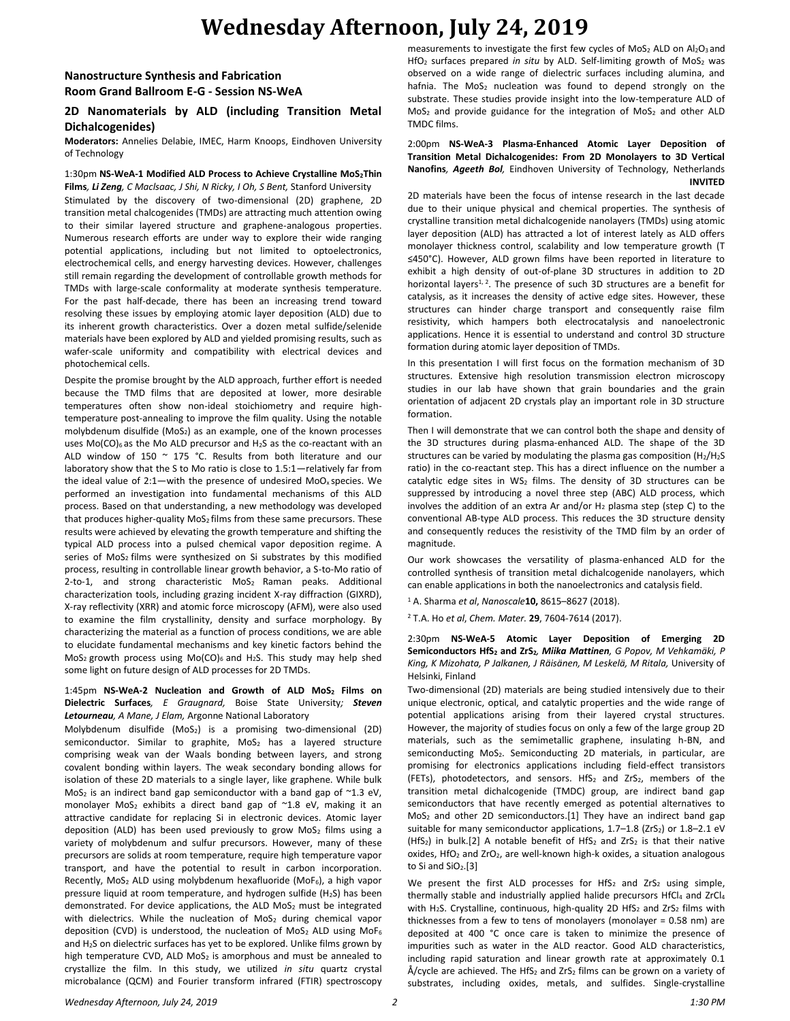## **Wednesday Afternoon, July 24, 2019**

## **Nanostructure Synthesis and Fabrication Room Grand Ballroom E-G - Session NS-WeA**

## **2D Nanomaterials by ALD (including Transition Metal Dichalcogenides)**

**Moderators:** Annelies Delabie, IMEC, Harm Knoops, Eindhoven University of Technology

## 1:30pm **NS-WeA-1 Modified ALD Process to Achieve Crystalline MoS2Thin**

**Films***, Li Zeng, C Maclsaac, J Shi, N Ricky, I Oh, S Bent,* Stanford University Stimulated by the discovery of two-dimensional (2D) graphene, 2D transition metal chalcogenides (TMDs) are attracting much attention owing to their similar layered structure and graphene-analogous properties. Numerous research efforts are under way to explore their wide ranging potential applications, including but not limited to optoelectronics, electrochemical cells, and energy harvesting devices. However, challenges still remain regarding the development of controllable growth methods for TMDs with large-scale conformality at moderate synthesis temperature. For the past half-decade, there has been an increasing trend toward resolving these issues by employing atomic layer deposition (ALD) due to its inherent growth characteristics. Over a dozen metal sulfide/selenide materials have been explored by ALD and yielded promising results, such as wafer-scale uniformity and compatibility with electrical devices and photochemical cells.

Despite the promise brought by the ALD approach, further effort is needed because the TMD films that are deposited at lower, more desirable temperatures often show non-ideal stoichiometry and require hightemperature post-annealing to improve the film quality. Using the notable molybdenum disulfide ( $MoS<sub>2</sub>$ ) as an example, one of the known processes uses  $Mo(CO)_{6}$  as the Mo ALD precursor and H<sub>2</sub>S as the co-reactant with an ALD window of 150 ~ 175 °C. Results from both literature and our laboratory show that the S to Mo ratio is close to 1.5:1—relatively far from the ideal value of 2:1—with the presence of undesired MoOx species. We performed an investigation into fundamental mechanisms of this ALD process. Based on that understanding, a new methodology was developed that produces higher-quality  $MoS<sub>2</sub>$  films from these same precursors. These results were achieved by elevating the growth temperature and shifting the typical ALD process into a pulsed chemical vapor deposition regime. A series of MoS<sub>2</sub> films were synthesized on Si substrates by this modified process, resulting in controllable linear growth behavior, a S-to-Mo ratio of 2-to-1, and strong characteristic MoS<sub>2</sub> Raman peaks. Additional characterization tools, including grazing incident X-ray diffraction (GIXRD), X-ray reflectivity (XRR) and atomic force microscopy (AFM), were also used to examine the film crystallinity, density and surface morphology. By characterizing the material as a function of process conditions, we are able to elucidate fundamental mechanisms and key kinetic factors behind the MoS<sub>2</sub> growth process using Mo(CO)<sub>6</sub> and H<sub>2</sub>S. This study may help shed some light on future design of ALD processes for 2D TMDs.

#### 1:45pm **NS-WeA-2 Nucleation and Growth of ALD MoS<sup>2</sup> Films on Dielectric Surfaces***, E Graugnard,* Boise State University*; Steven Letourneau, A Mane, J Elam,* Argonne National Laboratory

Molybdenum disulfide (MoS2) is a promising two-dimensional (2D) semiconductor. Similar to graphite, MoS<sub>2</sub> has a layered structure comprising weak van der Waals bonding between layers, and strong covalent bonding within layers. The weak secondary bonding allows for isolation of these 2D materials to a single layer, like graphene. While bulk MoS<sub>2</sub> is an indirect band gap semiconductor with a band gap of  $\sim$ 1.3 eV, monolayer MoS<sub>2</sub> exhibits a direct band gap of  $~1.8$  eV, making it an attractive candidate for replacing Si in electronic devices. Atomic layer deposition (ALD) has been used previously to grow  $MoS<sub>2</sub>$  films using a variety of molybdenum and sulfur precursors. However, many of these precursors are solids at room temperature, require high temperature vapor transport, and have the potential to result in carbon incorporation. Recently, MoS<sub>2</sub> ALD using molybdenum hexafluoride (MoF<sub>6</sub>), a high vapor pressure liquid at room temperature, and hydrogen sulfide (H<sub>2</sub>S) has been demonstrated. For device applications, the ALD  $MoS<sub>2</sub>$  must be integrated with dielectrics. While the nucleation of  $MoS<sub>2</sub>$  during chemical vapor deposition (CVD) is understood, the nucleation of  $MoS<sub>2</sub>$  ALD using  $MOF<sub>6</sub>$ and H2S on dielectric surfaces has yet to be explored. Unlike films grown by high temperature CVD, ALD  $MoS<sub>2</sub>$  is amorphous and must be annealed to crystallize the film. In this study, we utilized *in situ* quartz crystal microbalance (QCM) and Fourier transform infrared (FTIR) spectroscopy measurements to investigate the first few cycles of MoS<sub>2</sub> ALD on Al<sub>2</sub>O<sub>3</sub> and HfO<sub>2</sub> surfaces prepared *in situ* by ALD. Self-limiting growth of MoS<sub>2</sub> was observed on a wide range of dielectric surfaces including alumina, and hafnia. The  $MoS<sub>2</sub>$  nucleation was found to depend strongly on the substrate. These studies provide insight into the low-temperature ALD of  $MoS<sub>2</sub>$  and provide guidance for the integration of  $MoS<sub>2</sub>$  and other ALD TMDC films.

#### 2:00pm **NS-WeA-3 Plasma-Enhanced Atomic Layer Deposition of Transition Metal Dichalcogenides: From 2D Monolayers to 3D Vertical Nanofins***, Ageeth Bol,* Eindhoven University of Technology, Netherlands **INVITED**

2D materials have been the focus of intense research in the last decade due to their unique physical and chemical properties. The synthesis of crystalline transition metal dichalcogenide nanolayers (TMDs) using atomic layer deposition (ALD) has attracted a lot of interest lately as ALD offers monolayer thickness control, scalability and low temperature growth (T ≤450°C). However, ALD grown films have been reported in literature to exhibit a high density of out-of-plane 3D structures in addition to 2D horizontal layers $1, 2$ . The presence of such 3D structures are a benefit for catalysis, as it increases the density of active edge sites. However, these structures can hinder charge transport and consequently raise film resistivity, which hampers both electrocatalysis and nanoelectronic applications. Hence it is essential to understand and control 3D structure formation during atomic layer deposition of TMDs.

In this presentation I will first focus on the formation mechanism of 3D structures. Extensive high resolution transmission electron microscopy studies in our lab have shown that grain boundaries and the grain orientation of adjacent 2D crystals play an important role in 3D structure formation.

Then I will demonstrate that we can control both the shape and density of the 3D structures during plasma-enhanced ALD. The shape of the 3D structures can be varied by modulating the plasma gas composition  $(H_2/H_2S)$ ratio) in the co-reactant step. This has a direct influence on the number a catalytic edge sites in  $WS_2$  films. The density of 3D structures can be suppressed by introducing a novel three step (ABC) ALD process, which involves the addition of an extra Ar and/or  $H_2$  plasma step (step C) to the conventional AB-type ALD process. This reduces the 3D structure density and consequently reduces the resistivity of the TMD film by an order of magnitude.

Our work showcases the versatility of plasma-enhanced ALD for the controlled synthesis of transition metal dichalcogenide nanolayers, which can enable applications in both the nanoelectronics and catalysis field.

<sup>1</sup> A. Sharma *et al*, *Nanoscale***10,** 8615–8627 (2018).

<sup>2</sup> T.A. Ho *et al*, *Chem. Mater.* **29**, 7604-7614 (2017).

2:30pm **NS-WeA-5 Atomic Layer Deposition of Emerging 2D Semiconductors HfS<sup>2</sup> and ZrS2***, Miika Mattinen, G Popov, M Vehkamäki, P King, K Mizohata, P Jalkanen, J Räisänen, M Leskelä, M Ritala,* University of Helsinki, Finland

Two-dimensional (2D) materials are being studied intensively due to their unique electronic, optical, and catalytic properties and the wide range of potential applications arising from their layered crystal structures. However, the majority of studies focus on only a few of the large group 2D materials, such as the semimetallic graphene, insulating h-BN, and semiconducting MoS<sub>2</sub>. Semiconducting 2D materials, in particular, are promising for electronics applications including field-effect transistors (FETs), photodetectors, and sensors.  $HfS<sub>2</sub>$  and ZrS<sub>2</sub>, members of the transition metal dichalcogenide (TMDC) group, are indirect band gap semiconductors that have recently emerged as potential alternatives to MoS<sup>2</sup> and other 2D semiconductors.[1] They have an indirect band gap suitable for many semiconductor applications,  $1.7-1.8$  (ZrS<sub>2</sub>) or  $1.8-2.1$  eV (HfS<sub>2</sub>) in bulk.<sup>[2]</sup> A notable benefit of HfS<sub>2</sub> and ZrS<sub>2</sub> is that their native oxides,  $HfO<sub>2</sub>$  and  $ZrO<sub>2</sub>$ , are well-known high-k oxides, a situation analogous to Si and  $SiO<sub>2</sub>.[3]$ 

We present the first ALD processes for  $HfS_2$  and  $ZrS_2$  using simple, thermally stable and industrially applied halide precursors HfCl<sub>4</sub> and ZrCl<sub>4</sub> with  $H_2S$ . Crystalline, continuous, high-quality 2D HfS<sub>2</sub> and ZrS<sub>2</sub> films with thicknesses from a few to tens of monolayers (monolayer = 0.58 nm) are deposited at 400 °C once care is taken to minimize the presence of impurities such as water in the ALD reactor. Good ALD characteristics, including rapid saturation and linear growth rate at approximately 0.1 Å/cycle are achieved. The HfS<sub>2</sub> and ZrS<sub>2</sub> films can be grown on a variety of substrates, including oxides, metals, and sulfides. Single-crystalline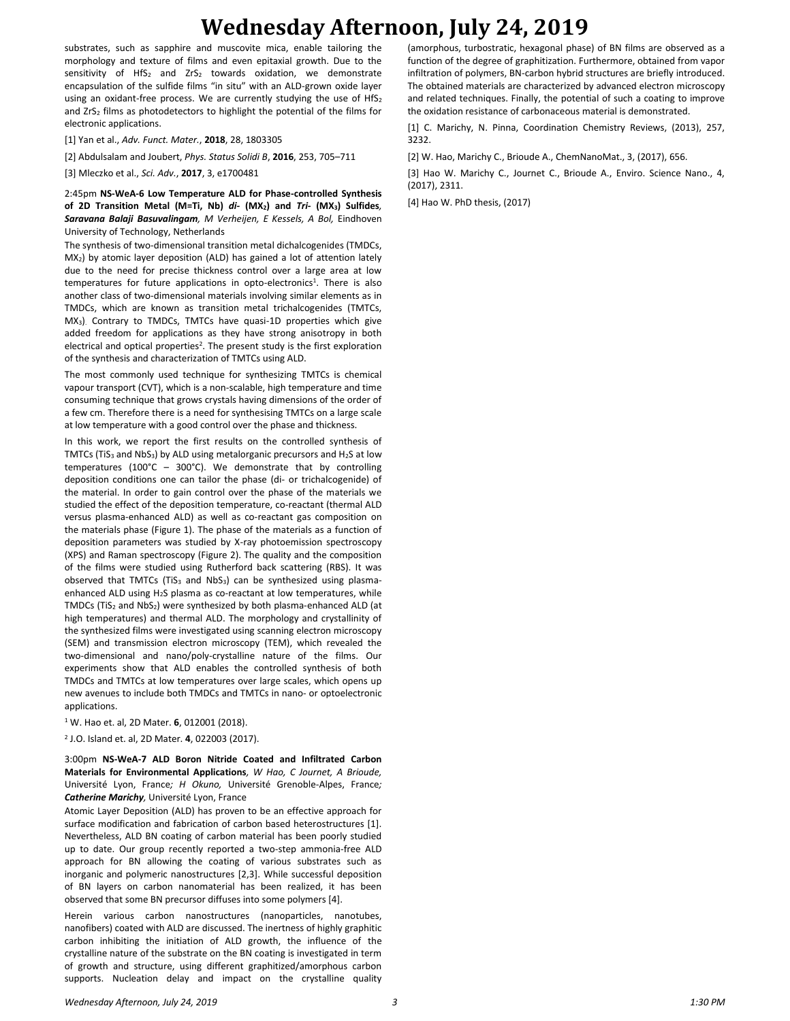# **Wednesday Afternoon, July 24, 2019**

substrates, such as sapphire and muscovite mica, enable tailoring the morphology and texture of films and even epitaxial growth. Due to the sensitivity of  $HfS_2$  and  $ZrS_2$  towards oxidation, we demonstrate encapsulation of the sulfide films "in situ" with an ALD-grown oxide layer using an oxidant-free process. We are currently studying the use of HfS<sub>2</sub> and ZrS<sub>2</sub> films as photodetectors to highlight the potential of the films for electronic applications.

[1] Yan et al., *Adv. Funct. Mater.*, **2018**, 28, 1803305

[2] Abdulsalam and Joubert, *Phys. Status Solidi B*, **2016**, 253, 705–711

[3] Mleczko et al., *Sci. Adv.*, **2017**, 3, e1700481

2:45pm **NS-WeA-6 Low Temperature ALD for Phase-controlled Synthesis of 2D Transition Metal (M=Ti, Nb)** *di-* **(MX2) and** *Tri-* **(MX3) Sulfides***, Saravana Balaji Basuvalingam, M Verheijen, E Kessels, A Bol,* Eindhoven University of Technology, Netherlands

The synthesis of two-dimensional transition metal dichalcogenides (TMDCs, MX2) by atomic layer deposition (ALD) has gained a lot of attention lately due to the need for precise thickness control over a large area at low temperatures for future applications in opto-electronics<sup>1</sup>. There is also another class of two-dimensional materials involving similar elements as in TMDCs, which are known as transition metal trichalcogenides (TMTCs, MX3). Contrary to TMDCs, TMTCs have quasi-1D properties which give added freedom for applications as they have strong anisotropy in both electrical and optical properties<sup>2</sup>. The present study is the first exploration of the synthesis and characterization of TMTCs using ALD.

The most commonly used technique for synthesizing TMTCs is chemical vapour transport (CVT), which is a non-scalable, high temperature and time consuming technique that grows crystals having dimensions of the order of a few cm. Therefore there is a need for synthesising TMTCs on a large scale at low temperature with a good control over the phase and thickness.

In this work, we report the first results on the controlled synthesis of TMTCs (TiS<sub>3</sub> and NbS<sub>3</sub>) by ALD using metalorganic precursors and H<sub>2</sub>S at low temperatures (100°C – 300°C). We demonstrate that by controlling deposition conditions one can tailor the phase (di- or trichalcogenide) of the material. In order to gain control over the phase of the materials we studied the effect of the deposition temperature, co-reactant (thermal ALD versus plasma-enhanced ALD) as well as co-reactant gas composition on the materials phase (Figure 1). The phase of the materials as a function of deposition parameters was studied by X-ray photoemission spectroscopy (XPS) and Raman spectroscopy (Figure 2). The quality and the composition of the films were studied using Rutherford back scattering (RBS). It was observed that TMTCs (TiS<sub>3</sub> and NbS<sub>3</sub>) can be synthesized using plasmaenhanced ALD using  $H_2S$  plasma as co-reactant at low temperatures, while TMDCs (TiS<sub>2</sub> and NbS<sub>2</sub>) were synthesized by both plasma-enhanced ALD (at high temperatures) and thermal ALD. The morphology and crystallinity of the synthesized films were investigated using scanning electron microscopy (SEM) and transmission electron microscopy (TEM), which revealed the two-dimensional and nano/poly-crystalline nature of the films. Our experiments show that ALD enables the controlled synthesis of both TMDCs and TMTCs at low temperatures over large scales, which opens up new avenues to include both TMDCs and TMTCs in nano- or optoelectronic applications.

<sup>1</sup> W. Hao et. al, 2D Mater. **6**, 012001 (2018).

2 J.O. Island et. al, 2D Mater. **4**, 022003 (2017).

3:00pm **NS-WeA-7 ALD Boron Nitride Coated and Infiltrated Carbon Materials for Environmental Applications***, W Hao, C Journet, A Brioude,*  Université Lyon, France*; H Okuno,* Université Grenoble-Alpes, France*; Catherine Marichy,* Université Lyon, France

Atomic Layer Deposition (ALD) has proven to be an effective approach for surface modification and fabrication of carbon based heterostructures [1]. Nevertheless, ALD BN coating of carbon material has been poorly studied up to date. Our group recently reported a two-step ammonia-free ALD approach for BN allowing the coating of various substrates such as inorganic and polymeric nanostructures [2,3]. While successful deposition of BN layers on carbon nanomaterial has been realized, it has been observed that some BN precursor diffuses into some polymers [4].

Herein various carbon nanostructures (nanoparticles, nanotubes, nanofibers) coated with ALD are discussed. The inertness of highly graphitic carbon inhibiting the initiation of ALD growth, the influence of the crystalline nature of the substrate on the BN coating is investigated in term of growth and structure, using different graphitized/amorphous carbon supports. Nucleation delay and impact on the crystalline quality

(amorphous, turbostratic, hexagonal phase) of BN films are observed as a function of the degree of graphitization. Furthermore, obtained from vapor infiltration of polymers, BN-carbon hybrid structures are briefly introduced. The obtained materials are characterized by advanced electron microscopy and related techniques. Finally, the potential of such a coating to improve the oxidation resistance of carbonaceous material is demonstrated.

[1] C. Marichy, N. Pinna, Coordination Chemistry Reviews, (2013), 257, 3232.

[2] W. Hao, Marichy C., Brioude A., ChemNanoMat., 3, (2017), 656.

[3] Hao W. Marichy C., Journet C., Brioude A., Enviro. Science Nano., 4, (2017), 2311.

[4] Hao W. PhD thesis, (2017)